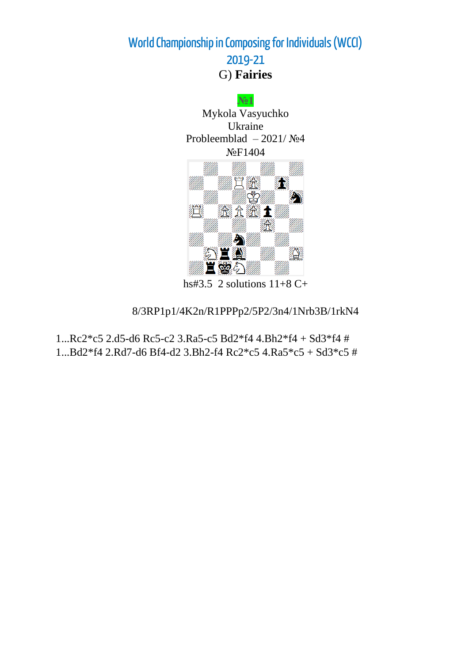**World Championship in Composing for Individuals (WCCI)**

**2019-21** G) **Fairies**



hs#3.5 2 solutions  $11+8$  C+

8/3RP1p1/4K2n/R1PPPp2/5P2/3n4/1Nrb3B/1rkN4

1...Rc2\*c5 2.d5-d6 Rc5-c2 3.Ra5-c5 Bd2\*f4 4.Bh2\*f4 + Sd3\*f4 # 1...Bd2\*f4 2.Rd7-d6 Bf4-d2 3.Bh2-f4 Rc2\*c5 4.Ra5\*c5 + Sd3\*c5 #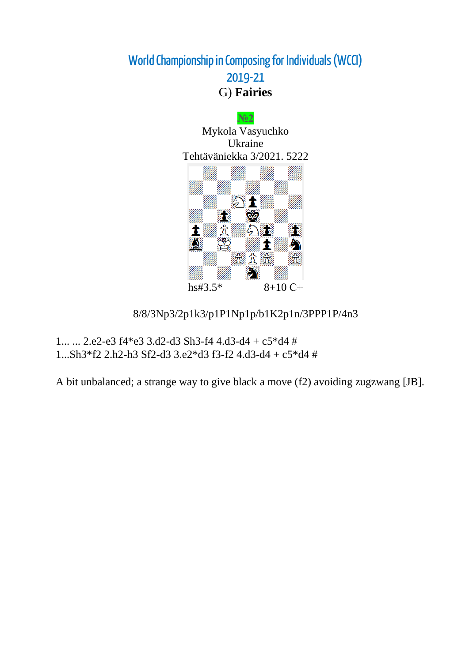**№2** Mykola Vasyuchko Ukraine Tehtäväniekka 3/2021. 5222  $\mathbb{Z}$  1 en Ste **SEP** 贪  $\sum_{i=1}^n$ ng Th 1 tij.  $\blacktriangleright$ **S** Ð 透立运 术 S hs#3.5\* 8+10 С+

8/8/3Np3/2p1k3/p1P1Np1p/b1K2p1n/3PPP1P/4n3

1... ... 2.e2-e3 f4\*e3 3.d2-d3 Sh3-f4 4.d3-d4 + c5\*d4 # 1...Sh3\*f2 2.h2-h3 Sf2-d3 3.e2\*d3 f3-f2 4.d3-d4 + c5\*d4 #

A bit unbalanced; a strange way to give black a move (f2) avoiding zugzwang [JB].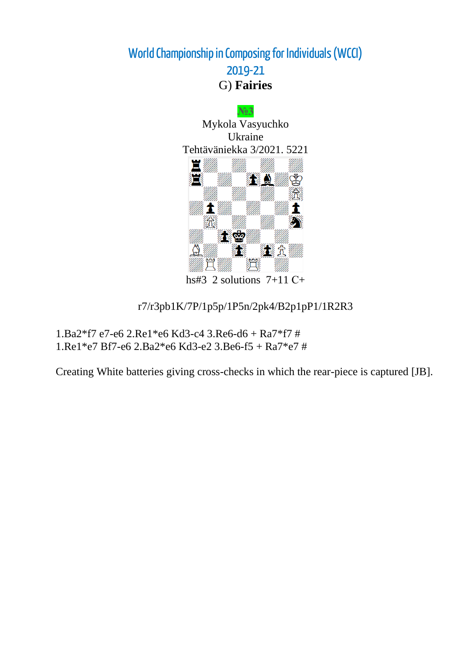

hs#3 2 solutions  $7+11$  C+

r7/r3pb1K/7P/1p5p/1P5n/2pk4/B2p1pP1/1R2R3

1.Ba2\*f7 e7-e6 2.Re1\*e6 Kd3-c4 3.Re6-d6 + Ra7\*f7 # 1.Re1\*e7 Bf7-e6 2.Ba2\*e6 Kd3-e2 3.Be6-f5 + Ra7\*e7 #

Creating White batteries giving cross-checks in which the rear-piece is captured [JB].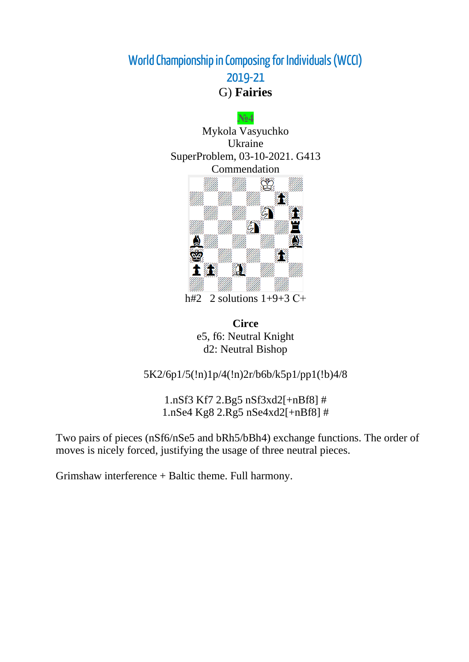

h#2 2 solutions  $1+9+3$  C+

**Circe** e5, f6: Neutral Knight d2: Neutral Bishop

5K2/6p1/5(!n)1p/4(!n)2r/b6b/k5p1/pp1(!b)4/8

1.nSf3 Kf7 2.Bg5 nSf3xd2[+nBf8] # 1.nSe4 Kg8 2.Rg5 nSe4xd2[+nBf8] #

Two pairs of pieces (nSf6/nSe5 and bRh5/bBh4) exchange functions. The order of moves is nicely forced, justifying the usage of three neutral pieces.

Grimshaw interference + Baltic theme. Full harmony.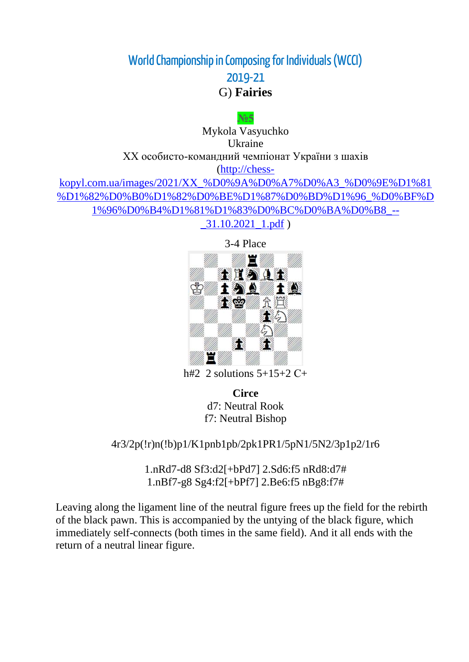G) **Fairies**

**№5** Mykola Vasyuchko Ukraine ХХ особисто-командний чемпіонат України з шахів [\(http://chess-](http://chess-kopyl.com.ua/images/2021/XX_%D0%9A%D0%A7%D0%A3_%D0%9E%D1%81%D1%82%D0%B0%D1%82%D0%BE%D1%87%D0%BD%D1%96_%D0%BF%D1%96%D0%B4%D1%81%D1%83%D0%BC%D0%BA%D0%B8_--_31.10.2021_1.pdf)

[kopyl.com.ua/images/2021/XX\\_%D0%9A%D0%A7%D0%A3\\_%D0%9E%D1%81](http://chess-kopyl.com.ua/images/2021/XX_%D0%9A%D0%A7%D0%A3_%D0%9E%D1%81%D1%82%D0%B0%D1%82%D0%BE%D1%87%D0%BD%D1%96_%D0%BF%D1%96%D0%B4%D1%81%D1%83%D0%BC%D0%BA%D0%B8_--_31.10.2021_1.pdf) [%D1%82%D0%B0%D1%82%D0%BE%D1%87%D0%BD%D1%96\\_%D0%BF%D](http://chess-kopyl.com.ua/images/2021/XX_%D0%9A%D0%A7%D0%A3_%D0%9E%D1%81%D1%82%D0%B0%D1%82%D0%BE%D1%87%D0%BD%D1%96_%D0%BF%D1%96%D0%B4%D1%81%D1%83%D0%BC%D0%BA%D0%B8_--_31.10.2021_1.pdf) [1%96%D0%B4%D1%81%D1%83%D0%BC%D0%BA%D0%B8\\_--](http://chess-kopyl.com.ua/images/2021/XX_%D0%9A%D0%A7%D0%A3_%D0%9E%D1%81%D1%82%D0%B0%D1%82%D0%BE%D1%87%D0%BD%D1%96_%D0%BF%D1%96%D0%B4%D1%81%D1%83%D0%BC%D0%BA%D0%B8_--_31.10.2021_1.pdf)

 $\_31.10.2021\_1.pdf$ )



h#2 2 solutions  $5+15+2$  C+

**Circe** d7: Neutral Rook f7: Neutral Bishop

4r3/2p(!r)n(!b)p1/K1pnb1pb/2pk1PR1/5pN1/5N2/3p1p2/1r6

1.nRd7-d8 Sf3:d2[+bPd7] 2.Sd6:f5 nRd8:d7# 1.nBf7-g8 Sg4:f2[+bPf7] 2.Be6:f5 nBg8:f7#

Leaving along the ligament line of the neutral figure frees up the field for the rebirth of the black pawn. This is accompanied by the untying of the black figure, which immediately self-connects (both times in the same field). And it all ends with the return of a neutral linear figure.